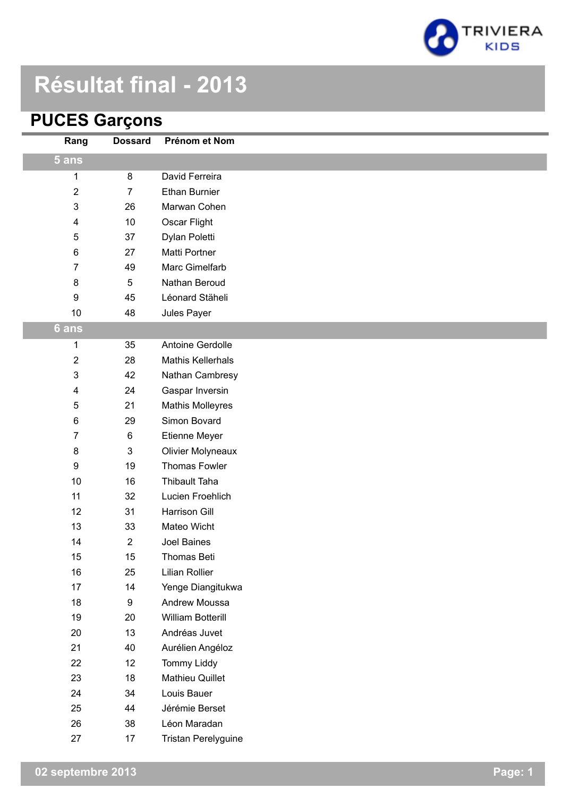

# **Résultat final - 2013**

#### **PUCES Garçons**

| Rang           | <b>Dossard</b> | Prénom et Nom            |
|----------------|----------------|--------------------------|
| 5 ans          |                |                          |
| 1              | 8              | David Ferreira           |
| 2              | $\overline{7}$ | Ethan Burnier            |
| $\mathfrak{S}$ | 26             | Marwan Cohen             |
| 4              | 10             | Oscar Flight             |
| 5              | 37             | Dylan Poletti            |
| 6              | 27             | Matti Portner            |
| 7              | 49             | Marc Gimelfarb           |
| 8              | $\sqrt{5}$     | Nathan Beroud            |
| 9              | 45             | Léonard Stäheli          |
| $10$           | 48             | Jules Payer              |
| 6 ans          |                |                          |
| 1              | 35             | Antoine Gerdolle         |
| 2              | 28             | <b>Mathis Kellerhals</b> |
| 3              | 42             | Nathan Cambresy          |
| 4              | 24             | Gaspar Inversin          |
| 5              | 21             | <b>Mathis Molleyres</b>  |
| 6              | 29             | Simon Bovard             |
| 7              | 6              | Etienne Meyer            |
| $\bf 8$        | $\mathbf 3$    | <b>Olivier Molyneaux</b> |
| 9              | 19             | <b>Thomas Fowler</b>     |
| 10             | 16             | <b>Thibault Taha</b>     |
| 11             | 32             | Lucien Froehlich         |
| 12             | 31             | <b>Harrison Gill</b>     |
| 13             | 33             | Mateo Wicht              |
| 14             | $\sqrt{2}$     | Joel Baines              |
| 15             | 15             | Thomas Beti              |
| 16             | 25             | <b>Lilian Rollier</b>    |
| 17             | 14             | Yenge Diangitukwa        |
| 18             | 9              | Andrew Moussa            |
| 19             | 20             | William Botterill        |
| 20             | 13             | Andréas Juvet            |
| 21             | 40             | Aurélien Angéloz         |
| 22             | 12             | <b>Tommy Liddy</b>       |
| 23             | 18             | Mathieu Quillet          |
| 24             | 34             | Louis Bauer              |
| 25             | 44             | Jérémie Berset           |
| 26             | 38             | Léon Maradan             |
| 27             | 17             | Tristan Perelyguine      |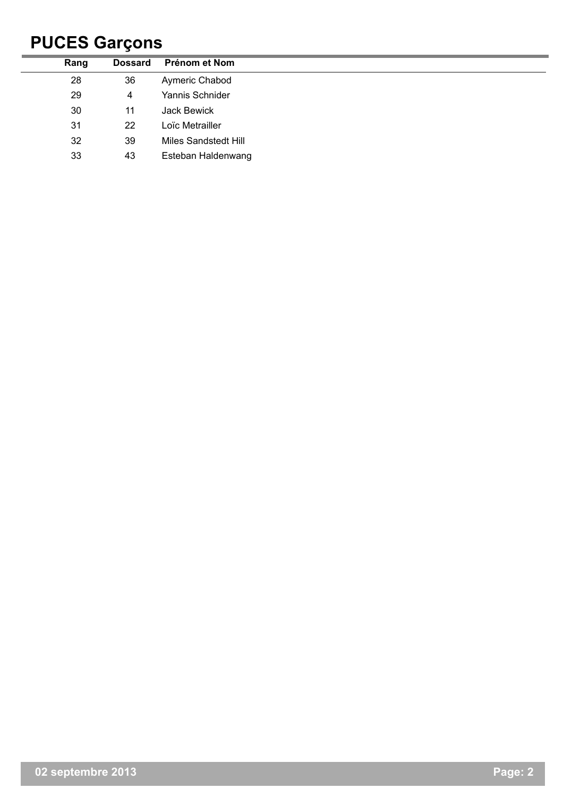## **PUCES Garçons**

| Rang | <b>Dossard</b> | Prénom et Nom               |
|------|----------------|-----------------------------|
| 28   | 36             | Aymeric Chabod              |
| 29   | 4              | Yannis Schnider             |
| 30   | 11             | Jack Bewick                 |
| 31   | 22             | Loïc Metrailler             |
| 32   | 39             | <b>Miles Sandstedt Hill</b> |
| 33   | 43             | Esteban Haldenwang          |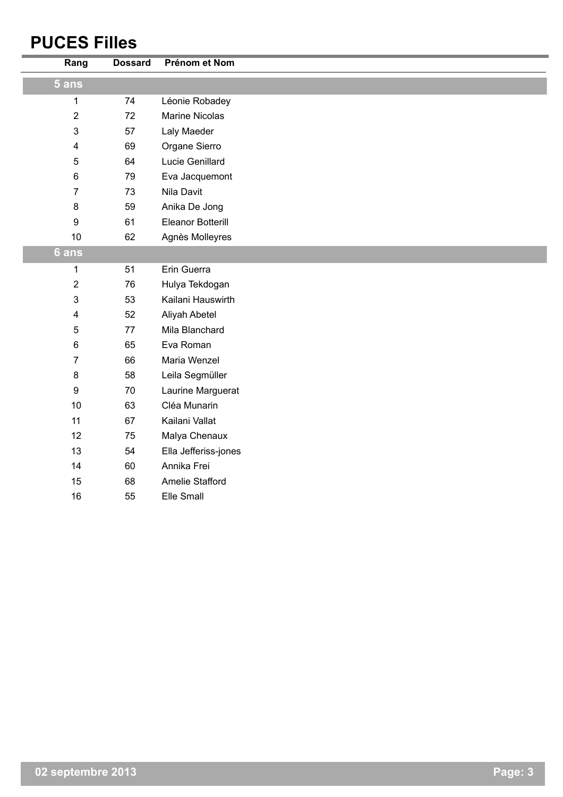#### **PUCES Filles**

| Rang                    | <b>Dossard</b> | Prénom et Nom            |
|-------------------------|----------------|--------------------------|
| $5$ ans                 |                |                          |
| 1                       | 74             | Léonie Robadey           |
| $\overline{2}$          | 72             | <b>Marine Nicolas</b>    |
| 3                       | 57             | Laly Maeder              |
| $\overline{\mathbf{4}}$ | 69             | Organe Sierro            |
| 5                       | 64             | Lucie Genillard          |
| $\,6$                   | 79             | Eva Jacquemont           |
| $\overline{7}$          | 73             | Nila Davit               |
| 8                       | 59             | Anika De Jong            |
| $\boldsymbol{9}$        | 61             | <b>Eleanor Botterill</b> |
| 10                      | 62             | Agnès Molleyres          |
| 6 ans                   |                |                          |
| 1                       | 51             | Erin Guerra              |
| $\sqrt{2}$              | 76             | Hulya Tekdogan           |
| 3                       | 53             | Kailani Hauswirth        |
| $\overline{\mathbf{4}}$ | 52             | Aliyah Abetel            |
| 5                       | 77             | Mila Blanchard           |
| $\,6$                   | 65             | Eva Roman                |
| $\overline{7}$          | 66             | Maria Wenzel             |
| $\bf 8$                 | 58             | Leila Segmüller          |
| 9                       | 70             | Laurine Marguerat        |
| 10                      | 63             | Cléa Munarin             |
| 11                      | 67             | Kailani Vallat           |
| 12                      | 75             | Malya Chenaux            |
| 13                      | 54             | Ella Jefferiss-jones     |
| 14                      | 60             | Annika Frei              |
| 15                      | 68             | Amelie Stafford          |
| 16                      | 55             | Elle Small               |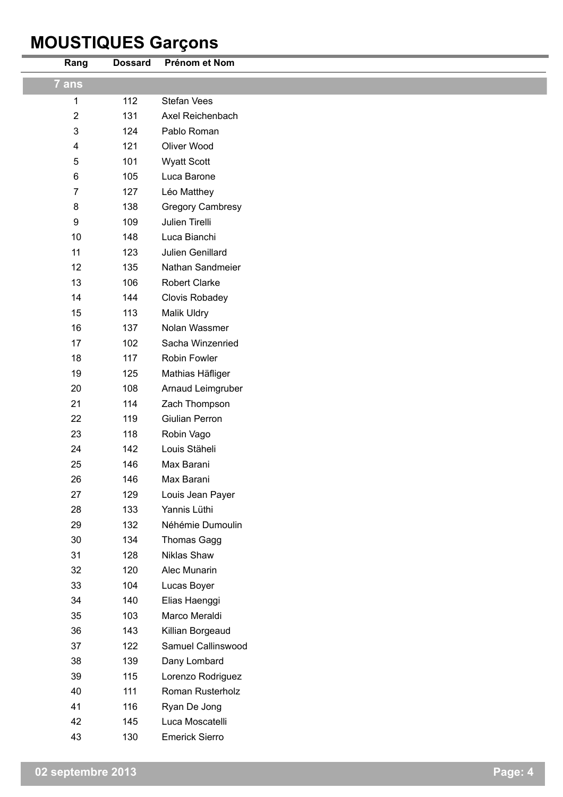## **MOUSTIQUES Garçons**

| Rang           | <b>Dossard</b> | Prénom et Nom           |
|----------------|----------------|-------------------------|
| 7 ans          |                |                         |
| 1              | 112            | <b>Stefan Vees</b>      |
| $\overline{2}$ | 131            | Axel Reichenbach        |
| $\mathfrak{S}$ | 124            | Pablo Roman             |
| 4              | 121            | Oliver Wood             |
| 5              | 101            | <b>Wyatt Scott</b>      |
| 6              | 105            | Luca Barone             |
| $\overline{7}$ | 127            | Léo Matthey             |
| $\bf 8$        | 138            | <b>Gregory Cambresy</b> |
| 9              | 109            | Julien Tirelli          |
| 10             | 148            | Luca Bianchi            |
| 11             | 123            | Julien Genillard        |
| 12             | 135            | Nathan Sandmeier        |
| 13             | 106            | <b>Robert Clarke</b>    |
| 14             | 144            | Clovis Robadey          |
| 15             | 113            | Malik Uldry             |
| 16             | 137            | Nolan Wassmer           |
| 17             | 102            | Sacha Winzenried        |
| 18             | 117            | Robin Fowler            |
| 19             | 125            | Mathias Häfliger        |
| 20             | 108            | Arnaud Leimgruber       |
| 21             | 114            | Zach Thompson           |
| 22             | 119            | Giulian Perron          |
| 23             | 118            | Robin Vago              |
| 24             | 142            | Louis Stäheli           |
| 25             | 146            | Max Barani              |
| 26             | 146            | Max Barani              |
| 27             | 129            | Louis Jean Payer        |
| 28             | 133            | Yannis Lüthi            |
| 29             | 132            | Néhémie Dumoulin        |
| 30             | 134            | Thomas Gagg             |
| 31             | 128            | Niklas Shaw             |
| 32             | 120            | Alec Munarin            |
| 33             | 104            | Lucas Boyer             |
| 34             | 140            | Elias Haenggi           |
| 35             | 103            | Marco Meraldi           |
| 36             | 143            | Killian Borgeaud        |
| 37             | 122            | Samuel Callinswood      |
| 38             | 139            | Dany Lombard            |
| 39             | 115            | Lorenzo Rodriguez       |
| 40             | 111            | Roman Rusterholz        |
| 41             | 116            | Ryan De Jong            |
| 42             | 145            | Luca Moscatelli         |
| 43             | 130            | <b>Emerick Sierro</b>   |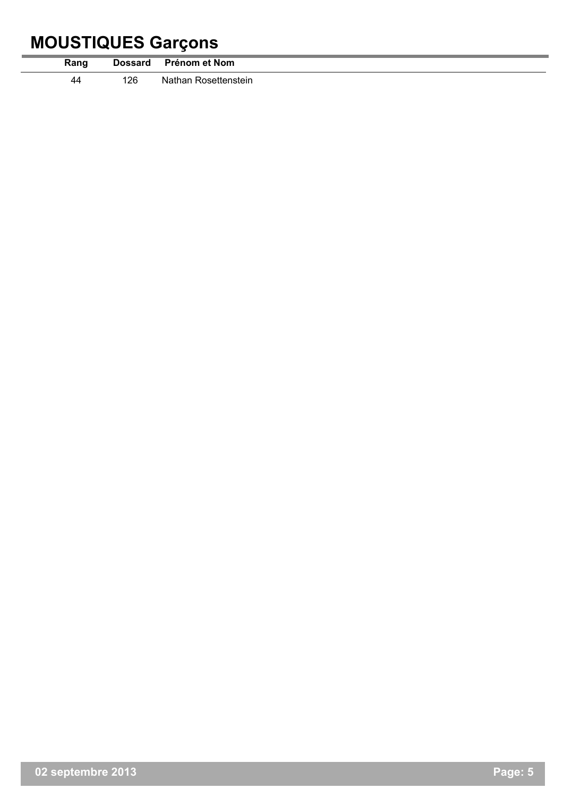## **MOUSTIQUES Garçons**

|      |                | -             |
|------|----------------|---------------|
| Rang | <b>Dossard</b> | Prénom et Nom |
| 40   | 126            | Nathan        |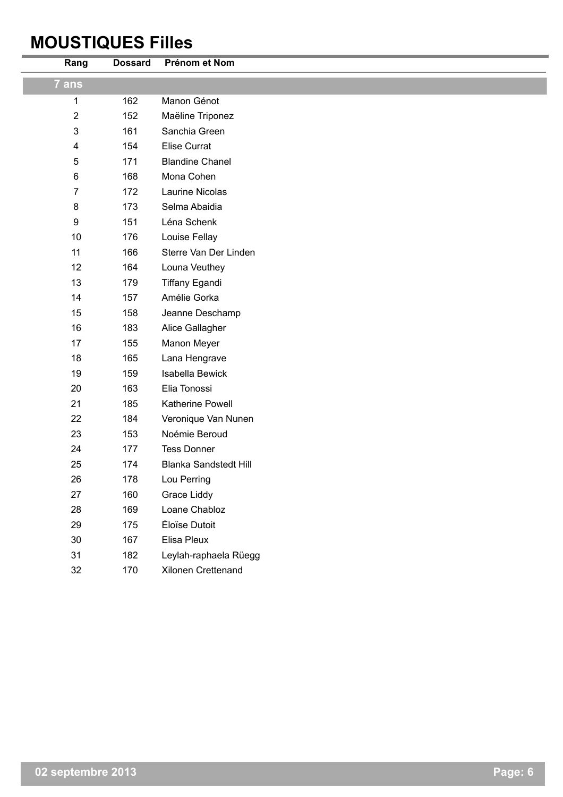#### **MOUSTIQUES Filles**

| Rang           | <b>Dossard</b> | Prénom et Nom                |
|----------------|----------------|------------------------------|
| 7 ans          |                |                              |
| $\mathbf{1}$   | 162            | Manon Génot                  |
| $\overline{2}$ | 152            | Maëline Triponez             |
| $\mathfrak{B}$ | 161            | Sanchia Green                |
| 4              | 154            | Élise Currat                 |
| 5              | 171            | <b>Blandine Chanel</b>       |
| 6              | 168            | Mona Cohen                   |
| $\overline{7}$ | 172            | <b>Laurine Nicolas</b>       |
| 8              | 173            | Selma Abaidia                |
| 9              | 151            | Léna Schenk                  |
| 10             | 176            | Louise Fellay                |
| 11             | 166            | Sterre Van Der Linden        |
| 12             | 164            | Louna Veuthey                |
| 13             | 179            | <b>Tiffany Egandi</b>        |
| 14             | 157            | Amélie Gorka                 |
| 15             | 158            | Jeanne Deschamp              |
| 16             | 183            | Alice Gallagher              |
| 17             | 155            | Manon Meyer                  |
| 18             | 165            | Lana Hengrave                |
| 19             | 159            | <b>Isabella Bewick</b>       |
| 20             | 163            | Elia Tonossi                 |
| 21             | 185            | Katherine Powell             |
| 22             | 184            | Veronique Van Nunen          |
| 23             | 153            | Noémie Beroud                |
| 24             | 177            | <b>Tess Donner</b>           |
| 25             | 174            | <b>Blanka Sandstedt Hill</b> |
| 26             | 178            | Lou Perring                  |
| 27             | 160            | Grace Liddy                  |
| 28             | 169            | Loane Chabloz                |
| 29             | 175            | Éloïse Dutoit                |
| 30             | 167            | Elisa Pleux                  |
| 31             | 182            | Leylah-raphaela Rüegg        |
| 32             | 170            | Xilonen Crettenand           |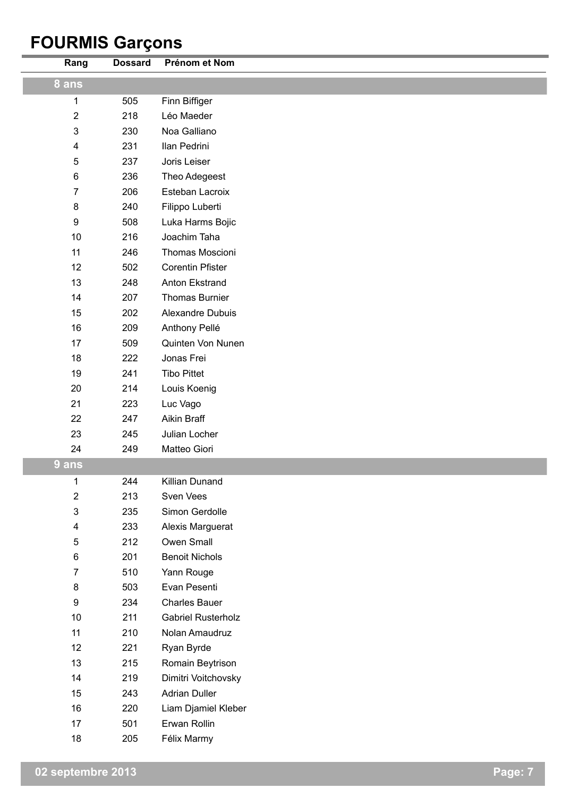## **FOURMIS Garçons**

| Rang                    | <b>Dossard</b> | Prénom et Nom             |
|-------------------------|----------------|---------------------------|
| 8 ans                   |                |                           |
| $\mathbf{1}$            | 505            | Finn Biffiger             |
| $\overline{2}$          | 218            | Léo Maeder                |
| 3                       | 230            | Noa Galliano              |
| $\overline{\mathbf{4}}$ | 231            | Ilan Pedrini              |
| 5                       | 237            | Joris Leiser              |
| 6                       | 236            | Theo Adegeest             |
| 7                       | 206            | Esteban Lacroix           |
| $\bf 8$                 | 240            | Filippo Luberti           |
| $\boldsymbol{9}$        | 508            | Luka Harms Bojic          |
| 10                      | 216            | Joachim Taha              |
| 11                      | 246            | Thomas Moscioni           |
| 12                      | 502            | <b>Corentin Pfister</b>   |
| 13                      | 248            | Anton Ekstrand            |
| 14                      | 207            | <b>Thomas Burnier</b>     |
| 15                      | 202            | Alexandre Dubuis          |
| 16                      | 209            | Anthony Pellé             |
| 17                      | 509            | Quinten Von Nunen         |
| 18                      | 222            | Jonas Frei                |
| 19                      | 241            | <b>Tibo Pittet</b>        |
| 20                      | 214            | Louis Koenig              |
| 21                      | 223            | Luc Vago                  |
| 22                      | 247            | Aikin Braff               |
| 23                      | 245            | Julian Locher             |
| 24                      | 249            | Matteo Giori              |
| 9 ans                   |                |                           |
| 1                       | 244            | Killian Dunand            |
| 2                       | 213            | Sven Vees                 |
| 3                       | 235            | Simon Gerdolle            |
| 4                       | 233            | Alexis Marguerat          |
| 5                       | 212            | Owen Small                |
| 6                       | 201            | <b>Benoit Nichols</b>     |
| 7                       | 510            | Yann Rouge                |
| $\bf 8$                 | 503            | Evan Pesenti              |
| $\boldsymbol{9}$        | 234            | <b>Charles Bauer</b>      |
| 10                      | 211            | <b>Gabriel Rusterholz</b> |
| 11                      | 210            | Nolan Amaudruz            |
| 12                      | 221            | Ryan Byrde                |
| 13                      | 215            | Romain Beytrison          |
| 14                      | 219            | Dimitri Voitchovsky       |
| 15                      | 243            | <b>Adrian Duller</b>      |
| 16                      | 220            | Liam Djamiel Kleber       |
| 17                      | 501            | Erwan Rollin              |
| 18                      | 205            | Félix Marmy               |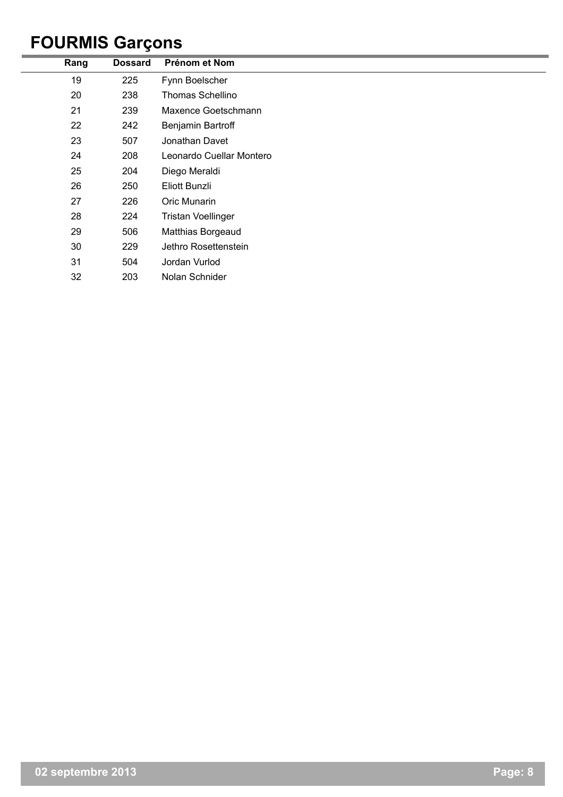## **FOURMIS Garçons**

| Rang | <b>Dossard</b> | Prénom et Nom             |
|------|----------------|---------------------------|
| 19   | 225            | Fynn Boelscher            |
| 20   | 238            | <b>Thomas Schellino</b>   |
| 21   | 239            | Maxence Goetschmann       |
| 22   | 242            | Benjamin Bartroff         |
| 23   | 507            | Jonathan Davet            |
| 24   | 208            | Leonardo Cuellar Montero  |
| 25   | 204            | Diego Meraldi             |
| 26   | 250            | Eliott Bunzli             |
| 27   | 226            | Oric Munarin              |
| 28   | 224            | <b>Tristan Voellinger</b> |
| 29   | 506            | Matthias Borgeaud         |
| 30   | 229            | Jethro Rosettenstein      |
| 31   | 504            | Jordan Vurlod             |
| 32   | 203            | Nolan Schnider            |
|      |                |                           |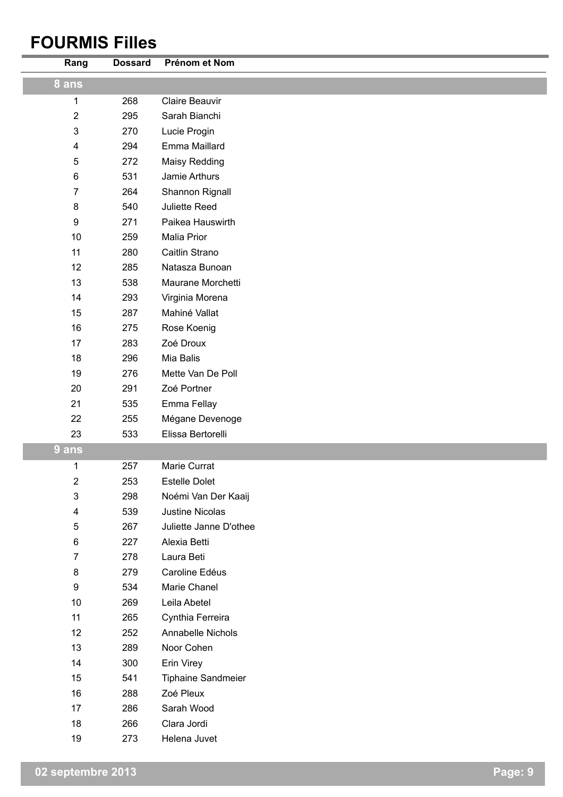#### **FOURMIS Filles**

| Rang                      | <b>Dossard</b> | Prénom et Nom             |
|---------------------------|----------------|---------------------------|
| 8 ans                     |                |                           |
| $\mathbf{1}$              | 268            | <b>Claire Beauvir</b>     |
| $\sqrt{2}$                | 295            | Sarah Bianchi             |
| $\ensuremath{\mathsf{3}}$ | 270            | Lucie Progin              |
| $\overline{\mathbf{4}}$   | 294            | Emma Maillard             |
| $\sqrt{5}$                | 272            | Maisy Redding             |
| $\,6$                     | 531            | Jamie Arthurs             |
| $\overline{7}$            | 264            | Shannon Rignall           |
| $\bf 8$                   | 540            | Juliette Reed             |
| $\boldsymbol{9}$          | 271            | Paikea Hauswirth          |
| 10                        | 259            | Malia Prior               |
| 11                        | 280            | Caitlin Strano            |
| 12                        | 285            | Natasza Bunoan            |
| 13                        | 538            | Maurane Morchetti         |
| 14                        | 293            | Virginia Morena           |
| 15                        | 287            | Mahiné Vallat             |
| 16                        | 275            | Rose Koenig               |
| 17                        | 283            | Zoé Droux                 |
| 18                        | 296            | Mia Balis                 |
| 19                        | 276            | Mette Van De Poll         |
| 20                        | 291            | Zoé Portner               |
| 21                        | 535            | Emma Fellay               |
| 22                        | 255            | Mégane Devenoge           |
| 23                        | 533            | Elissa Bertorelli         |
| 9 ans                     |                |                           |
| 1                         | 257            | Marie Currat              |
| $\sqrt{2}$                | 253            | <b>Estelle Dolet</b>      |
| $\ensuremath{\mathsf{3}}$ | 298            | Noémi Van Der Kaaij       |
| $\overline{\mathbf{4}}$   | 539            | Justine Nicolas           |
| 5                         | 267            | Juliette Janne D'othee    |
| 6                         | 227            | Alexia Betti              |
| $\overline{7}$            | 278            | Laura Beti                |
| 8                         | 279            | Caroline Edéus            |
| 9                         | 534            | Marie Chanel              |
| 10                        | 269            | Leila Abetel              |
| 11                        | 265            | Cynthia Ferreira          |
| 12                        | 252            | Annabelle Nichols         |
| 13                        | 289            | Noor Cohen                |
| 14                        | 300            | Erin Virey                |
| 15                        | 541            | <b>Tiphaine Sandmeier</b> |
| 16                        | 288            | Zoé Pleux                 |
| 17                        | 286            | Sarah Wood                |
| 18                        | 266            | Clara Jordi               |
| 19                        | 273            | Helena Juvet              |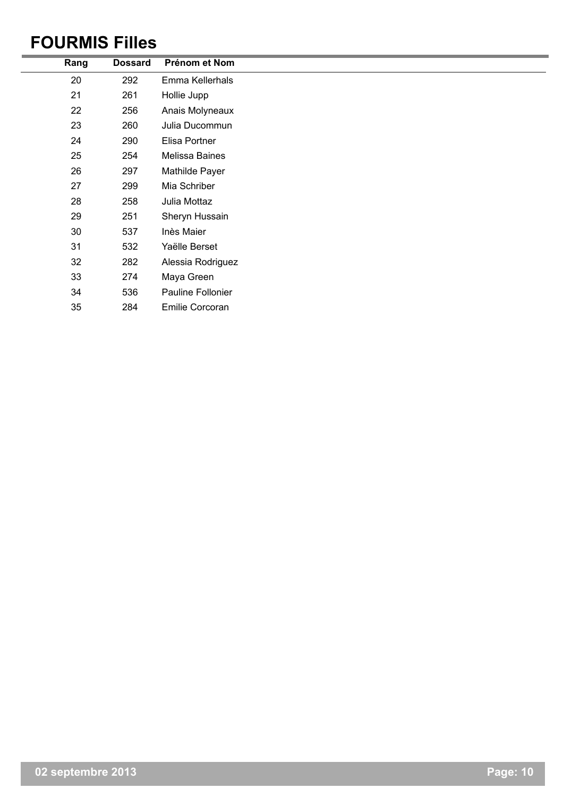#### **FOURMIS Filles**

| 20<br>Emma Kellerhals<br>292   |
|--------------------------------|
|                                |
| 21<br>261<br>Hollie Jupp       |
| 22<br>256<br>Anais Molyneaux   |
| 23<br>260<br>Julia Ducommun    |
| 24<br>290<br>Elisa Portner     |
| 25<br>254<br>Melissa Baines    |
| 26<br>297<br>Mathilde Payer    |
| 27<br>299<br>Mia Schriber      |
| 28<br>258<br>Julia Mottaz      |
| 29<br>251<br>Sheryn Hussain    |
| 30<br>537<br>Inès Maier        |
| 31<br>532<br>Yaëlle Berset     |
| 32<br>282<br>Alessia Rodriguez |
| 33<br>274<br>Maya Green        |
| 34<br>536<br>Pauline Follonier |
| 35<br>284<br>Emilie Corcoran   |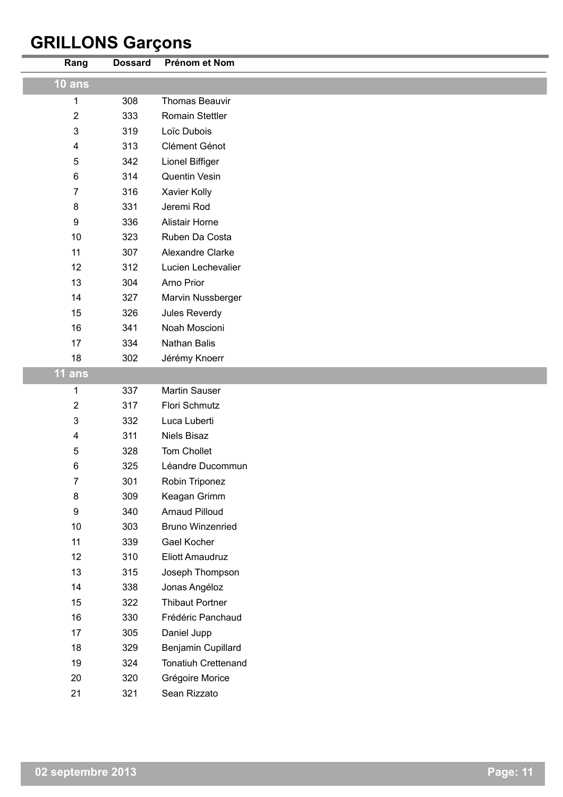## **GRILLONS Garçons**

| Rang           | <b>Dossard</b> | Prénom et Nom              |
|----------------|----------------|----------------------------|
| $10$ ans       |                |                            |
| 1              | 308            | <b>Thomas Beauvir</b>      |
| $\overline{2}$ | 333            | <b>Romain Stettler</b>     |
| 3              | 319            | Loïc Dubois                |
| 4              | 313            | Clément Génot              |
| 5              | 342            | Lionel Biffiger            |
| 6              | 314            | Quentin Vesin              |
| 7              | 316            | Xavier Kolly               |
| 8              | 331            | Jeremi Rod                 |
| 9              | 336            | <b>Alistair Horne</b>      |
| 10             | 323            | Ruben Da Costa             |
| 11             | 307            | Alexandre Clarke           |
| 12             | 312            | Lucien Lechevalier         |
| 13             | 304            | Arno Prior                 |
| 14             | 327            | Marvin Nussberger          |
| 15             | 326            | Jules Reverdy              |
| 16             | 341            | Noah Moscioni              |
| 17             | 334            | Nathan Balis               |
| 18             | 302            | Jérémy Knoerr              |
| $11$ ans       |                |                            |
| 1              | 337            | Martin Sauser              |
| 2              | 317            | Flori Schmutz              |
| 3              | 332            | Luca Luberti               |
| 4              | 311            | <b>Niels Bisaz</b>         |
| 5              | 328            | Tom Chollet                |
| 6              | 325            | Léandre Ducommun           |
| 7              | 301            | Robin Triponez             |
| 8              | 309            | Keagan Grimm               |
| 9              | 340            | <b>Arnaud Pilloud</b>      |
| 10             | 303            | <b>Bruno Winzenried</b>    |
| 11             | 339            | Gael Kocher                |
| 12             | 310            | Eliott Amaudruz            |
| 13             | 315            | Joseph Thompson            |
| 14             | 338            | Jonas Angéloz              |
| 15             | 322            | <b>Thibaut Portner</b>     |
| 16             | 330            | Frédéric Panchaud          |
| 17             | 305            | Daniel Jupp                |
| 18             | 329            | Benjamin Cupillard         |
| 19             | 324            | <b>Tonatiuh Crettenand</b> |
| 20             | 320            | Grégoire Morice            |
| 21             | 321            | Sean Rizzato               |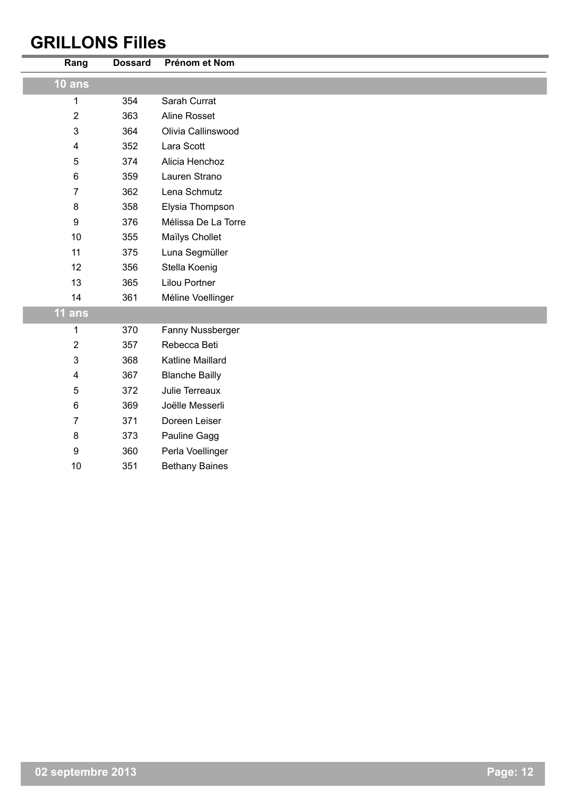#### **GRILLONS Filles**

| Rang             | <b>Dossard</b> | Prénom et Nom         |
|------------------|----------------|-----------------------|
| $10$ ans         |                |                       |
| 1                | 354            | Sarah Currat          |
| $\overline{2}$   | 363            | Aline Rosset          |
| $\mathfrak{S}$   | 364            | Olivia Callinswood    |
| $\overline{4}$   | 352            | Lara Scott            |
| 5                | 374            | Alicia Henchoz        |
| 6                | 359            | Lauren Strano         |
| $\overline{7}$   | 362            | Lena Schmutz          |
| $\bf 8$          | 358            | Elysia Thompson       |
| 9                | 376            | Mélissa De La Torre   |
| 10               | 355            | Maïlys Chollet        |
| 11               | 375            | Luna Segmüller        |
| 12               | 356            | Stella Koenig         |
| 13               | 365            | <b>Lilou Portner</b>  |
| 14               | 361            | Méline Voellinger     |
| 11 ans           |                |                       |
| 1                | 370            | Fanny Nussberger      |
| $\overline{2}$   | 357            | Rebecca Beti          |
| 3                | 368            | Katline Maillard      |
| 4                | 367            | <b>Blanche Bailly</b> |
| 5                | 372            | Julie Terreaux        |
| 6                | 369            | Joëlle Messerli       |
| $\overline{7}$   | 371            | Doreen Leiser         |
| 8                | 373            | Pauline Gagg          |
| $\boldsymbol{9}$ | 360            | Perla Voellinger      |
| 10               | 351            | <b>Bethany Baines</b> |
|                  |                |                       |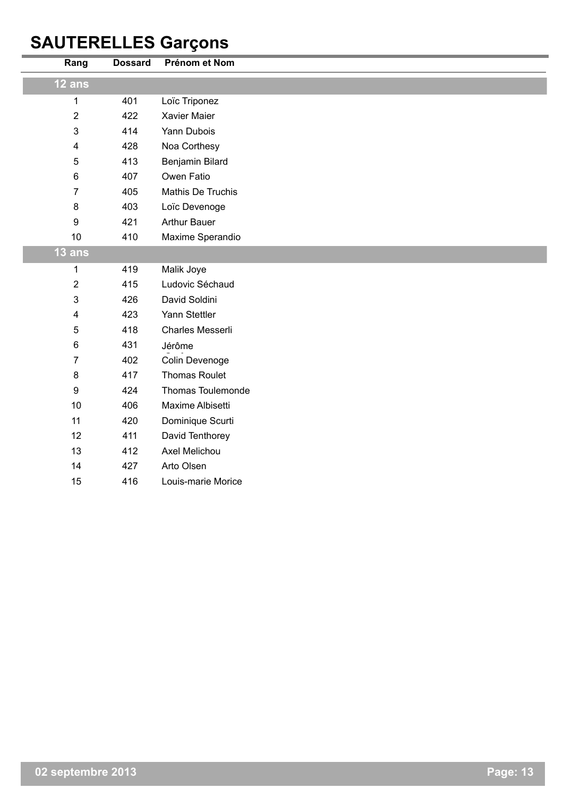## **SAUTERELLES Garçons**

| Rang             | <b>Dossard</b> | Prénom et Nom            |
|------------------|----------------|--------------------------|
| 12 ans           |                |                          |
| 1                | 401            | Loïc Triponez            |
| $\overline{2}$   | 422            | Xavier Maier             |
| 3                | 414            | Yann Dubois              |
| 4                | 428            | Noa Corthesy             |
| 5                | 413            | Benjamin Bilard          |
| $\,6$            | 407            | Owen Fatio               |
| $\overline{7}$   | 405            | Mathis De Truchis        |
| $\bf 8$          | 403            | Loïc Devenoge            |
| $\boldsymbol{9}$ | 421            | <b>Arthur Bauer</b>      |
| 10               | 410            | Maxime Sperandio         |
| 13 ans           |                |                          |
| 1                | 419            | Malik Joye               |
| $\overline{2}$   | 415            | Ludovic Séchaud          |
| 3                | 426            | David Soldini            |
| 4                | 423            | Yann Stettler            |
| 5                | 418            | Charles Messerli         |
| 6                | 431            | Jérôme                   |
| $\overline{7}$   | 402            | Colin Devenoge           |
| 8                | 417            | <b>Thomas Roulet</b>     |
| 9                | 424            | <b>Thomas Toulemonde</b> |
| 10               | 406            | Maxime Albisetti         |
| 11               | 420            | Dominique Scurti         |
| 12               | 411            | David Tenthorey          |
| 13               | 412            | Axel Melichou            |
| 14               | 427            | Arto Olsen               |
| 15               | 416            | Louis-marie Morice       |